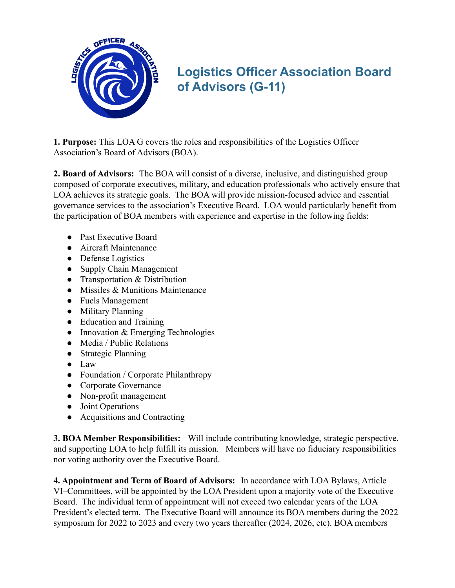

## **Logistics Officer Association Board of Advisors (G-11)**

**1. Purpose:** This LOA G covers the roles and responsibilities of the Logistics Officer Association's Board of Advisors (BOA).

**2. Board of Advisors:** The BOA will consist of a diverse, inclusive, and distinguished group composed of corporate executives, military, and education professionals who actively ensure that LOA achieves its strategic goals. The BOA will provide mission-focused advice and essential governance services to the association's Executive Board. LOA would particularly benefit from the participation of BOA members with experience and expertise in the following fields:

- Past Executive Board
- Aircraft Maintenance
- Defense Logistics
- Supply Chain Management
- Transportation & Distribution
- Missiles & Munitions Maintenance
- Fuels Management
- Military Planning
- Education and Training
- $\bullet$  Innovation & Emerging Technologies
- Media / Public Relations
- Strategic Planning
- Law
- Foundation / Corporate Philanthropy
- Corporate Governance
- Non-profit management
- Joint Operations
- Acquisitions and Contracting

**3. BOA Member Responsibilities:** Will include contributing knowledge, strategic perspective, and supporting LOA to help fulfill its mission. Members will have no fiduciary responsibilities nor voting authority over the Executive Board.

**4. Appointment and Term of Board of Advisors:** In accordance with LOA Bylaws, Article VI–Committees, will be appointed by the LOA President upon a majority vote of the Executive Board. The individual term of appointment will not exceed two calendar years of the LOA President's elected term. The Executive Board will announce its BOA members during the 2022 symposium for 2022 to 2023 and every two years thereafter (2024, 2026, etc). BOA members